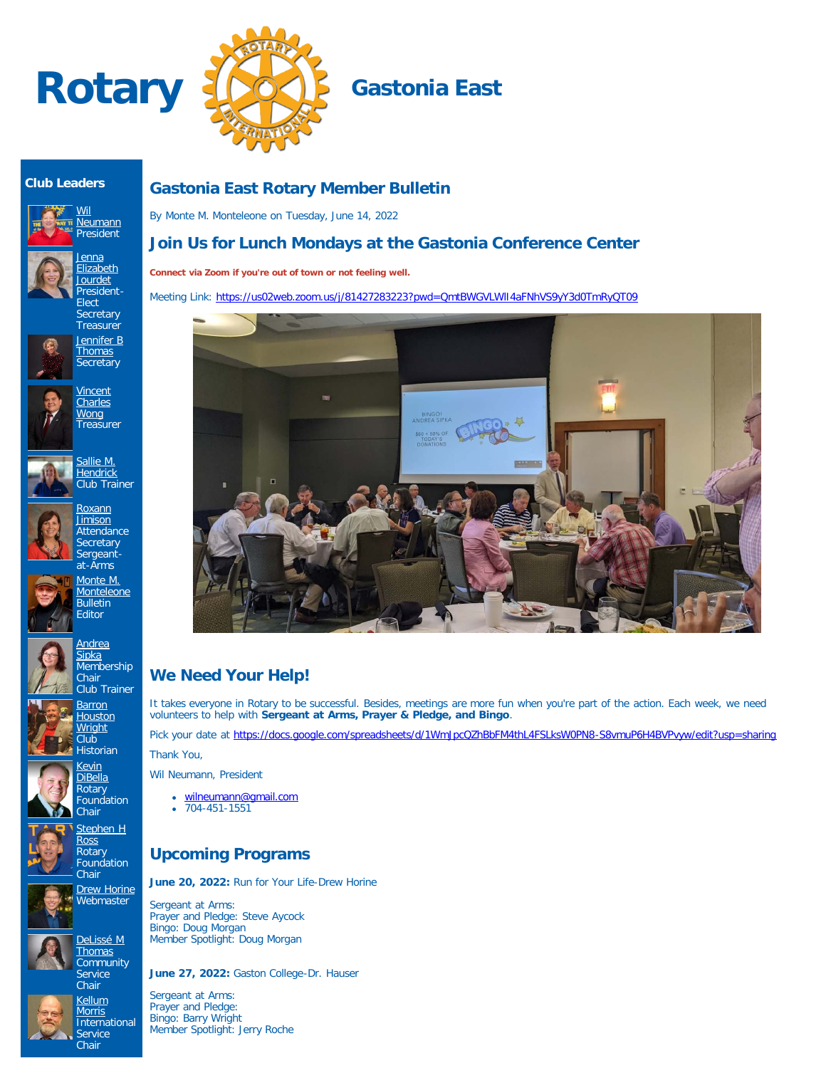



#### **Club Leaders**





**Secretary Treasurer** [Jennifer B](https://www.ismyrotaryclub.org/EMailer.cfm?ID=800611473) **[Thomas](https://www.ismyrotaryclub.org/EMailer.cfm?ID=800611473) Secretary** 











**[Barron](https://www.ismyrotaryclub.org/EMailer.cfm?ID=76804055) [Houston](https://www.ismyrotaryclub.org/EMailer.cfm?ID=76804055) [Wright](https://www.ismyrotaryclub.org/EMailer.cfm?ID=76804055)** Club Historian

> **[Kevin](https://www.ismyrotaryclub.org/EMailer.cfm?ID=76803943)** [DiBella](https://www.ismyrotaryclub.org/EMailer.cfm?ID=76803943) Rotary Foundation





**Rotary Foundation Chair [Drew Horine](https://www.ismyrotaryclub.org/EMailer.cfm?ID=800801377)** 







**Chair [Kellum](https://www.ismyrotaryclub.org/EMailer.cfm?ID=76803997) [Morris](https://www.ismyrotaryclub.org/EMailer.cfm?ID=76803997) International Service** Chair

[DeLissé M](https://www.ismyrotaryclub.org/EMailer.cfm?ID=800899434) **[Thomas](https://www.ismyrotaryclub.org/EMailer.cfm?ID=800899434)** 



By Monte M. Monteleone on Tuesday, June 14, 2022

## **Join Us for Lunch Mondays at the Gastonia Conference Center**

**Connect via Zoom if you're out of town or not feeling well.**

Meeting Link:<https://us02web.zoom.us/j/81427283223?pwd=QmtBWGVLWlI4aFNhVS9yY3d0TmRyQT09>



# **We Need Your Help!**

It takes everyone in Rotary to be successful. Besides, meetings are more fun when you're part of the action. Each week, we need volunteers to help with **Sergeant at Arms, Prayer & Pledge, and Bingo**.

Pick your date at <https://docs.google.com/spreadsheets/d/1WmJpcQZhBbFM4thL4FSLksW0PN8-S8vmuP6H4BVPvyw/edit?usp=sharing> Thank You,

Wil Neumann, President

- [wilneumann@gmail.com](mailto:wilneumann@gmail.com)
- $\bullet$  704-451-1551

### **Upcoming Programs**

**June 20, 2022:** Run for Your Life-Drew Horine

Sergeant at Arms: Prayer and Pledge: Steve Aycock Bingo: Doug Morgan Member Spotlight: Doug Morgan

**June 27, 2022:** Gaston College-Dr. Hauser

Sergeant at Arms: Prayer and Pledge: Bingo: Barry Wright Member Spotlight: Jerry Roche